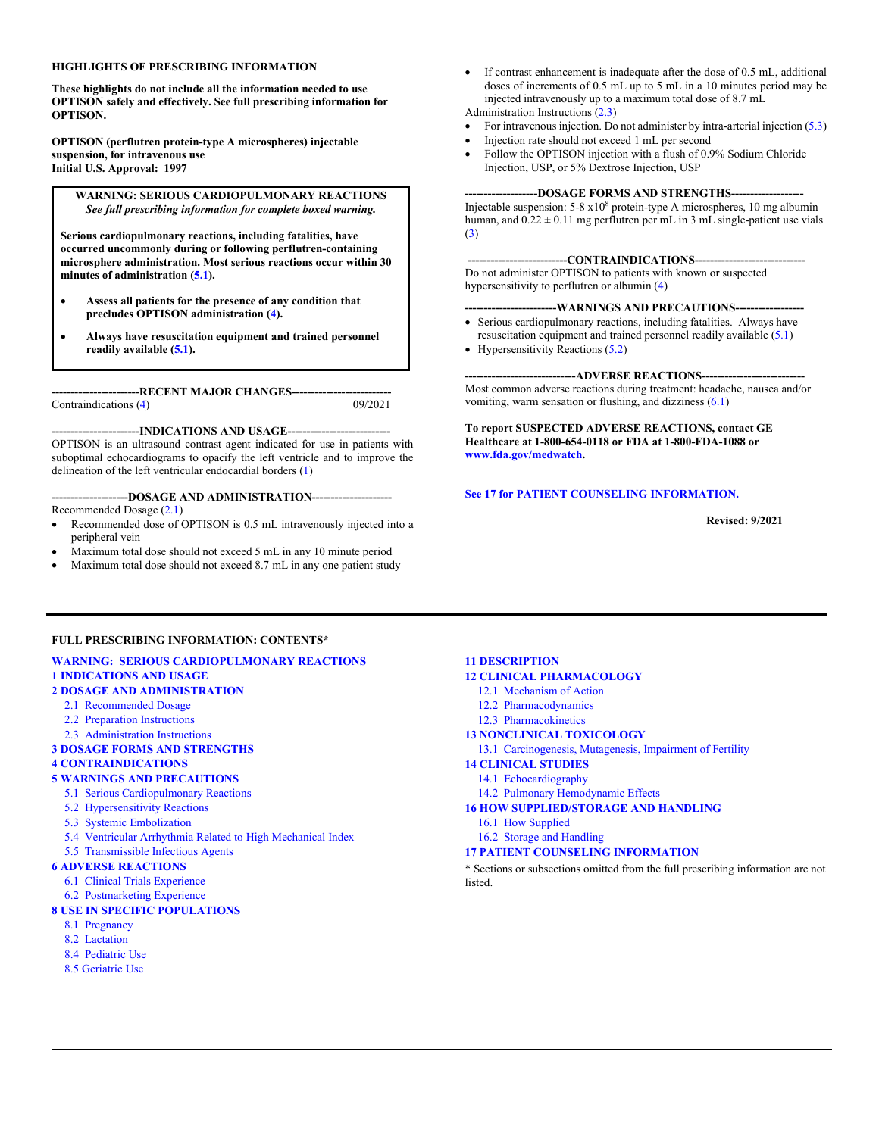#### **HIGHLIGHTS OF PRESCRIBING INFORMATION**

**These highlights do not include all the information needed to use OPTISON safely and effectively. See full prescribing information for OPTISON.**

**OPTISON (perflutren protein-type A microspheres) injectable suspension, for intravenous use Initial U.S. Approval: 1997**

#### **WARNING: SERIOUS CARDIOPULMONARY REACTIONS**  *See full prescribing information for complete boxed warning.*

**Serious cardiopulmonary reactions, including fatalities, have occurred uncommonly during or following perflutren-containing microsphere administration. Most serious reactions occur within 30 minutes of administration [\(5.1\).](#page-2-3)**

- **Assess all patients for the presence of any condition that precludes OPTISON administration [\(4\)](#page-2-0).**
- **Always have resuscitation equipment and trained personnel readily available [\(5.1\)](#page-2-3).**

**-----------------------RECENT MAJOR CHANGES--------------------------** Contraindications [\(4\)](#page-2-0)

**-----------------------INDICATIONS AND USAGE---------------------------** OPTISON is an ultrasound contrast agent indicated for use in patients with suboptimal echocardiograms to opacify the left ventricle and to improve the delineation of the left ventricular endocardial borders [\(1\)](#page-1-0)

**--------------------DOSAGE AND ADMINISTRATION---------------------** Recommended Dosage [\(2.1\)](#page-1-1)

- Recommended dose of OPTISON is 0.5 mL intravenously injected into a peripheral vein
- Maximum total dose should not exceed 5 mL in any 10 minute period
- Maximum total dose should not exceed 8.7 mL in any one patient study

• If contrast enhancement is inadequate after the dose of 0.5 mL, additional doses of increments of 0.5 mL up to 5 mL in a 10 minutes period may be injected intravenously up to a maximum total dose of 8.7 mL

Administration Instructions [\(2.3\)](#page-1-2)

- For intravenous injection. Do not administer by intra-arterial injection [\(5.3\)](#page-2-1)
- Injection rate should not exceed 1 mL per second
- Follow the OPTISON injection with a flush of 0.9% Sodium Chloride Injection, USP, or 5% Dextrose Injection, USP

#### --DOSAGE FORMS AND STRENGTHS---

Injectable suspension:  $5-8 \times 10^8$  protein-type A microspheres, 10 mg albumin human, and  $0.22 \pm 0.11$  mg perflutren per mL in 3 mL single-patient use vials [\(3\)](#page-2-2)

#### ---CONTRAINDICATIONS----

Do not administer OPTISON to patients with known or suspected hypersensitivity to perflutren or albumin [\(4\)](#page-2-0)

#### **------------------------WARNINGS AND PRECAUTIONS------------------**

- Serious cardiopulmonary reactions, including fatalities. Always have resuscitation equipment and trained personnel readily available [\(5.1\)](#page-2-3)
- Hypersensitivity Reactions [\(5.2\)](#page-2-4)

---ADVERSE REACTIONS----Most common adverse reactions during treatment: headache, nausea and/or vomiting, warm sensation or flushing, and dizziness [\(6.1\)](#page-3-0)

#### **To report SUSPECTED ADVERSE REACTIONS, contact GE Healthcare at 1-800-654-0118 or FDA at 1-800-FDA-1088 or [www.fda.gov/medwatch.](http://www.fda.gov/medwatch)**

#### **[See 17 for PATIENT COUNSELING INFORMATION.](#page-7-0)**

 **Revised: 9/2021**

#### **FULL PRESCRIBING INFORMATION: CONTENTS\***

#### **[WARNING: SERIOUS CARDIOPULMONARY REACTIONS](#page-1-0) 1 [INDICATIONS AND USAGE](#page-1-0)**

## **2 [DOSAGE AND ADMINISTRATION](#page-1-3)**

- [2.1 Recommended Dosage](#page-1-1)
- [2.2 Preparation Instructions](#page-1-4)
- [2.3 Administration](#page-1-2) Instructions

#### **3 [DOSAGE FORMS AND STRENGTHS](#page-2-2)**

**4 [CONTRAINDICATIONS](#page-2-0)**

#### **5 [WARNINGS AND PRECAUTIONS](#page-2-5)**

- 5.1 [Serious Cardiopulmonary Reactions](#page-2-3)
- [5.2 Hypersensitivity Reactions](#page-2-4)
- [5.3 Systemic Embolization](#page-2-1)
- [5.4 Ventricular Arrhythmia Related to High Mechanical](#page-2-6) Index
- [5.5 Transmissible](#page-2-7) Infectious Agents

#### **6 [ADVERSE REACTIONS](#page-3-1)**

- [6.1 Clinical Trials Experience](#page-3-0)
- [6.2 Postmarketing Experience](#page-4-0)

#### **[8 USE IN SPECIFIC POPULATIONS](#page-4-1)**

- [8.1 Pregnancy](#page-4-2)
- [8.2 Lactation](#page-4-3)
- [8.4 Pediatric Use](#page-4-4)
- [8.5 Geriatric](#page-4-5) Use

#### **[11 DESCRIPTION](#page-5-0)**

- **[12 CLINICAL PHARMACOLOGY](#page-5-1)**
	- [12.1 Mechanism of Action](#page-5-2)
	- [12.2 Pharmacodynamics](#page-5-3)
	- [12.3 Pharmacokinetics](#page-5-4)
- **[13 NONCLINICAL TOXICOLOGY](#page-6-0)**
- [13.1 Carcinogenesis, Mutagenesis, Impairment of Fertility](#page-6-1)

#### **[14 CLINICAL STUDIES](#page-6-2)**

- [14.1 Echocardiography](#page-6-3)
- 14.2 [Pulmonary Hemodynamic Effects](#page-7-1)
- **[16 HOW SUPPLIED/STORAGE AND HANDLING](#page-7-2)**
- [16.1 How Supplied](#page-7-3)
- [16.2 Storage and Handling](#page-7-4)

#### **[17 PATIENT COUNSELING INFORMATION](#page-7-0)**

\* Sections or subsections omitted from the full prescribing information are not listed.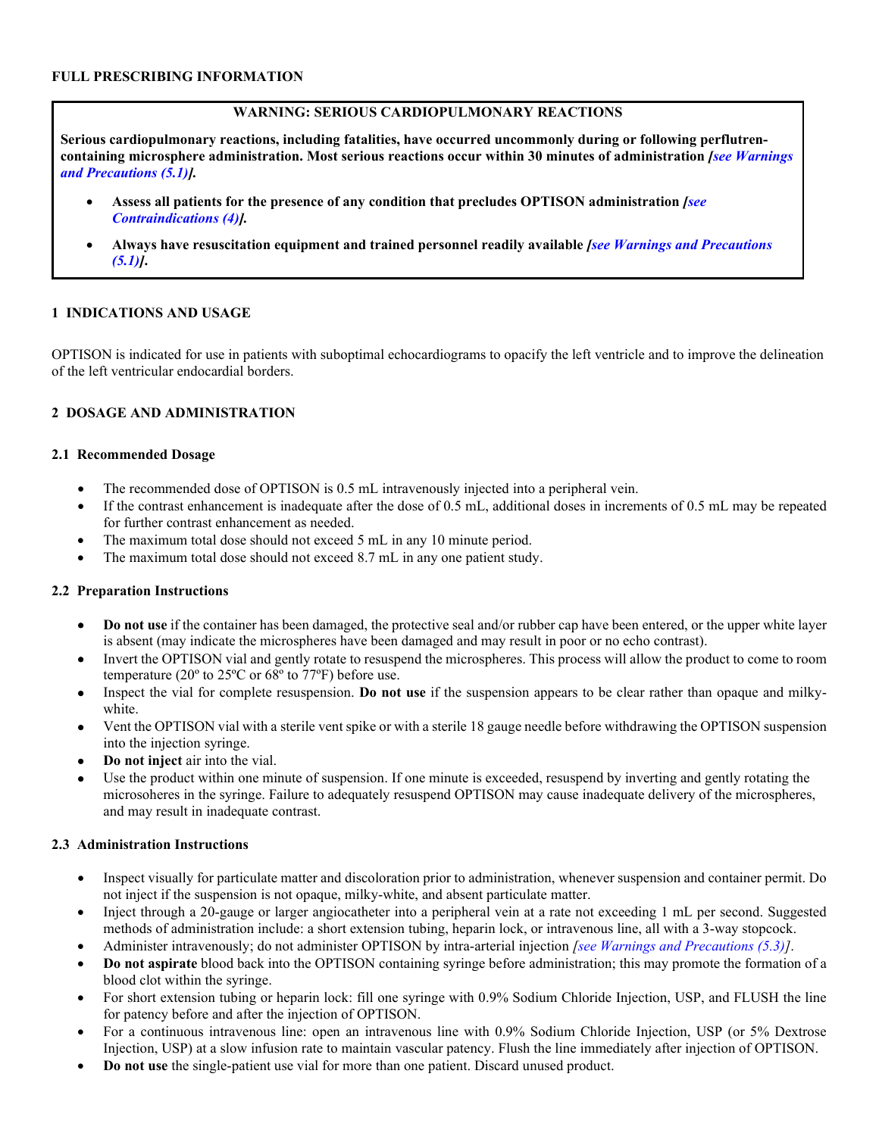## **WARNING: SERIOUS CARDIOPULMONARY REACTIONS**

**Serious cardiopulmonary reactions, including fatalities, have occurred uncommonly during or following perflutrencontaining microsphere administration. Most serious reactions occur within 30 minutes of administration** *[\[see Warnings](#page-2-3)  [and Precautions \(5.1\)](#page-2-3)].*

- **Assess all patients for the presence of any condition that precludes OPTISON administration** *[\[see](#page-2-0)  [Contraindications \(4\)\]](#page-2-0).*
- **Always have resuscitation equipment and trained personnel readily available** *[\[see Warnings and Precautions](#page-2-3)  [\(5.1\)\]](#page-2-3)***.**

### <span id="page-1-0"></span>**1 INDICATIONS AND USAGE**

OPTISON is indicated for use in patients with suboptimal echocardiograms to opacify the left ventricle and to improve the delineation of the left ventricular endocardial borders.

## <span id="page-1-3"></span>**2 DOSAGE AND ADMINISTRATION**

### <span id="page-1-1"></span>**2.1 Recommended Dosage**

- The recommended dose of OPTISON is 0.5 mL intravenously injected into a peripheral vein.
- If the contrast enhancement is inadequate after the dose of 0.5 mL, additional doses in increments of 0.5 mL may be repeated for further contrast enhancement as needed.
- The maximum total dose should not exceed 5 mL in any 10 minute period.
- The maximum total dose should not exceed 8.7 mL in any one patient study.

### <span id="page-1-4"></span>**2.2 Preparation Instructions**

- **Do not use** if the container has been damaged, the protective seal and/or rubber cap have been entered, or the upper white layer is absent (may indicate the microspheres have been damaged and may result in poor or no echo contrast).
- Invert the OPTISON vial and gently rotate to resuspend the microspheres. This process will allow the product to come to room temperature (20º to 25ºC or 68º to 77ºF) before use.
- Inspect the vial for complete resuspension. **Do not use** if the suspension appears to be clear rather than opaque and milkywhite.
- Vent the OPTISON vial with a sterile vent spike or with a sterile 18 gauge needle before withdrawing the OPTISON suspension into the injection syringe.
- **Do not inject** air into the vial.
- Use the product within one minute of suspension. If one minute is exceeded, resuspend by inverting and gently rotating the microsoheres in the syringe. Failure to adequately resuspend OPTISON may cause inadequate delivery of the microspheres, and may result in inadequate contrast.

## <span id="page-1-2"></span>**2.3 Administration Instructions**

- Inspect visually for particulate matter and discoloration prior to administration, whenever suspension and container permit. Do not inject if the suspension is not opaque, milky-white, and absent particulate matter.
- Inject through a 20-gauge or larger angiocatheter into a peripheral vein at a rate not exceeding 1 mL per second. Suggested methods of administration include: a short extension tubing, heparin lock, or intravenous line, all with a 3-way stopcock.
- Administer intravenously; do not administer OPTISON by intra-arterial injection *[\[see Warnings and Precautions \(5.3\)\]](#page-2-1)*.
- **Do not aspirate** blood back into the OPTISON containing syringe before administration; this may promote the formation of a blood clot within the syringe.
- For short extension tubing or heparin lock: fill one syringe with 0.9% Sodium Chloride Injection, USP, and FLUSH the line for patency before and after the injection of OPTISON.
- For a continuous intravenous line: open an intravenous line with 0.9% Sodium Chloride Injection, USP (or 5% Dextrose Injection, USP) at a slow infusion rate to maintain vascular patency. Flush the line immediately after injection of OPTISON.
- **Do not use** the single-patient use vial for more than one patient. Discard unused product.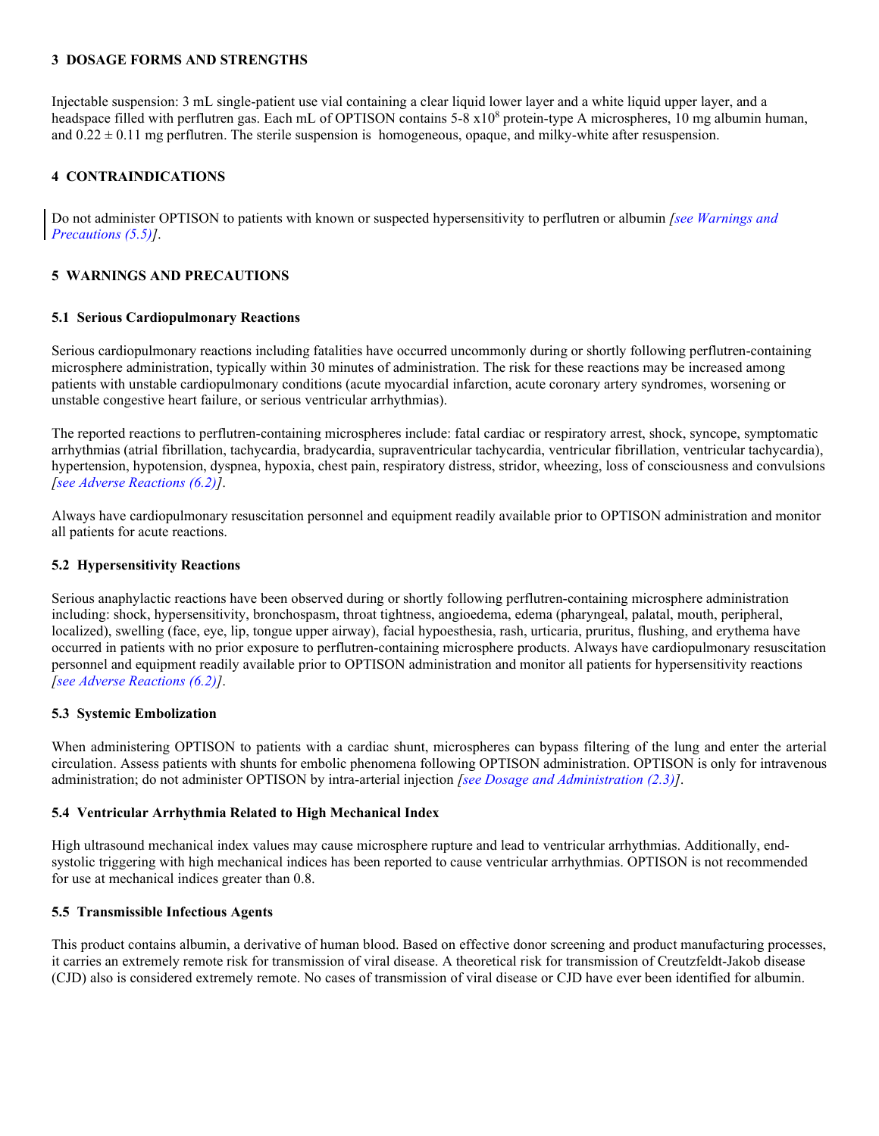### <span id="page-2-2"></span>**3 DOSAGE FORMS AND STRENGTHS**

Injectable suspension: 3 mL single-patient use vial containing a clear liquid lower layer and a white liquid upper layer, and a headspace filled with perflutren gas. Each mL of OPTISON contains 5-8 x10<sup>8</sup> protein-type A microspheres, 10 mg albumin human, and  $0.22 \pm 0.11$  mg perflutren. The sterile suspension is homogeneous, opaque, and milky-white after resuspension.

### <span id="page-2-0"></span>**4 CONTRAINDICATIONS**

Do not administer OPTISON to patients with known or suspected hypersensitivity to perflutren or albumin *[\[see Warnings and](#page-2-7)  [Precautions \(5.5\)\]](#page-2-7)*.

## <span id="page-2-5"></span>**5 WARNINGS AND PRECAUTIONS**

### <span id="page-2-3"></span>**5.1 Serious Cardiopulmonary Reactions**

Serious cardiopulmonary reactions including fatalities have occurred uncommonly during or shortly following perflutren-containing microsphere administration, typically within 30 minutes of administration. The risk for these reactions may be increased among patients with unstable cardiopulmonary conditions (acute myocardial infarction, acute coronary artery syndromes, worsening or unstable congestive heart failure, or serious ventricular arrhythmias).

The reported reactions to perflutren-containing microspheres include: fatal cardiac or respiratory arrest, shock, syncope, symptomatic arrhythmias (atrial fibrillation, tachycardia, bradycardia, supraventricular tachycardia, ventricular fibrillation, ventricular tachycardia), hypertension, hypotension, dyspnea, hypoxia, chest pain, respiratory distress, stridor, wheezing, loss of consciousness and convulsions *[\[see Adverse Reactions \(6.2\)\]](#page-4-0)*.

Always have cardiopulmonary resuscitation personnel and equipment readily available prior to OPTISON administration and monitor all patients for acute reactions.

#### <span id="page-2-4"></span>**5.2 Hypersensitivity Reactions**

Serious anaphylactic reactions have been observed during or shortly following perflutren-containing microsphere administration including: shock, hypersensitivity, bronchospasm, throat tightness, angioedema, edema (pharyngeal, palatal, mouth, peripheral, localized), swelling (face, eye, lip, tongue upper airway), facial hypoesthesia, rash, urticaria, pruritus, flushing, and erythema have occurred in patients with no prior exposure to perflutren-containing microsphere products. Always have cardiopulmonary resuscitation personnel and equipment readily available prior to OPTISON administration and monitor all patients for hypersensitivity reactions *[\[see Adverse Reactions \(6.2\)\]](#page-4-0)*.

### <span id="page-2-1"></span>**5.3 Systemic Embolization**

When administering OPTISON to patients with a cardiac shunt, microspheres can bypass filtering of the lung and enter the arterial circulation. Assess patients with shunts for embolic phenomena following OPTISON administration. OPTISON is only for intravenous administration; do not administer OPTISON by intra-arterial injection *[\[see Dosage and Administration \(2.3\)\]](#page-1-2)*.

### <span id="page-2-6"></span>**5.4 Ventricular Arrhythmia Related to High Mechanical Index**

High ultrasound mechanical index values may cause microsphere rupture and lead to ventricular arrhythmias. Additionally, endsystolic triggering with high mechanical indices has been reported to cause ventricular arrhythmias. OPTISON is not recommended for use at mechanical indices greater than 0.8.

### <span id="page-2-7"></span>**5.5 Transmissible Infectious Agents**

This product contains albumin, a derivative of human blood. Based on effective donor screening and product manufacturing processes, it carries an extremely remote risk for transmission of viral disease. A theoretical risk for transmission of Creutzfeldt-Jakob disease (CJD) also is considered extremely remote. No cases of transmission of viral disease or CJD have ever been identified for albumin.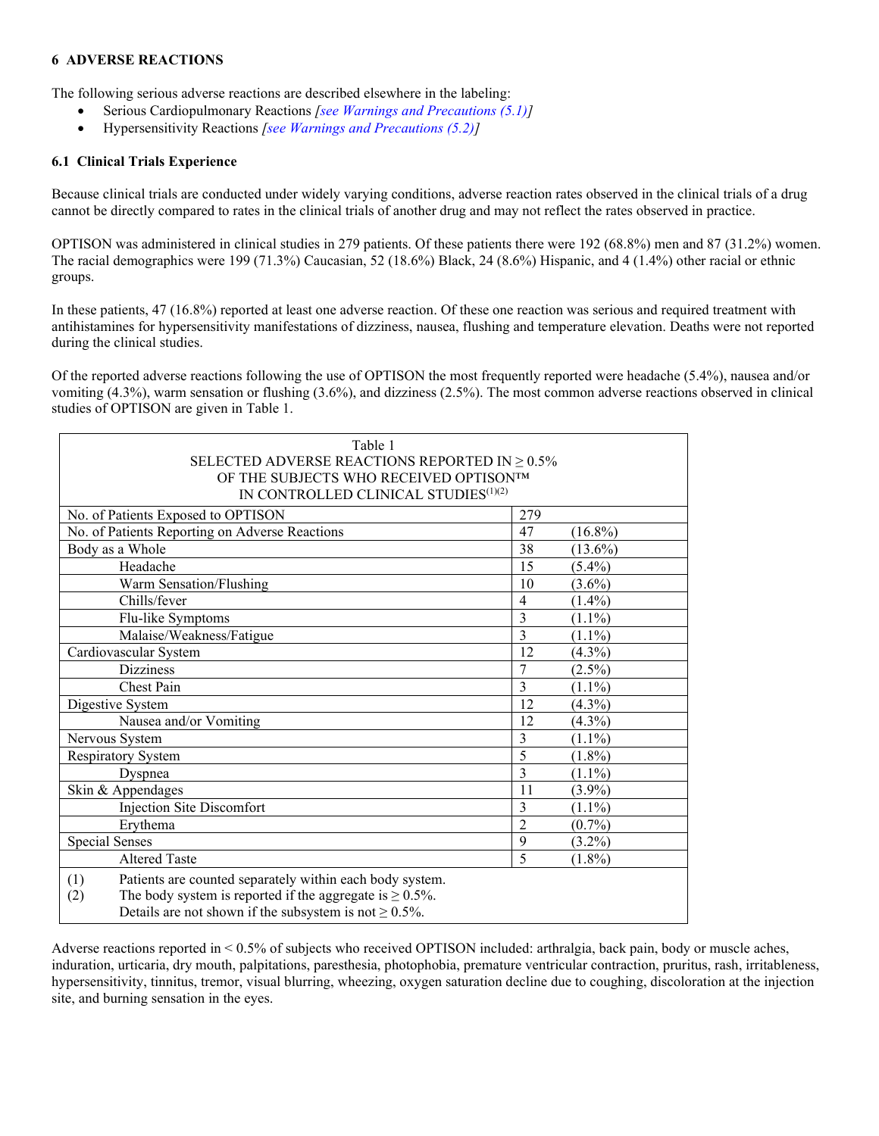### <span id="page-3-1"></span>**6 ADVERSE REACTIONS**

The following serious adverse reactions are described elsewhere in the labeling:

- Serious Cardiopulmonary Reactions *[\[see Warnings and Precautions \(5.1\)\]](#page-2-3)*
- Hypersensitivity Reactions *[\[see Warnings and Precautions](#page-2-4) (5.2)]*

### <span id="page-3-0"></span>**6.1 Clinical Trials Experience**

Because clinical trials are conducted under widely varying conditions, adverse reaction rates observed in the clinical trials of a drug cannot be directly compared to rates in the clinical trials of another drug and may not reflect the rates observed in practice.

OPTISON was administered in clinical studies in 279 patients. Of these patients there were 192 (68.8%) men and 87 (31.2%) women. The racial demographics were 199 (71.3%) Caucasian, 52 (18.6%) Black, 24 (8.6%) Hispanic, and 4 (1.4%) other racial or ethnic groups.

In these patients, 47 (16.8%) reported at least one adverse reaction. Of these one reaction was serious and required treatment with antihistamines for hypersensitivity manifestations of dizziness, nausea, flushing and temperature elevation. Deaths were not reported during the clinical studies.

Of the reported adverse reactions following the use of OPTISON the most frequently reported were headache (5.4%), nausea and/or vomiting (4.3%), warm sensation or flushing (3.6%), and dizziness (2.5%). The most common adverse reactions observed in clinical studies of OPTISON are given in Table 1.

| Table 1                                                               |                |            |  |  |  |
|-----------------------------------------------------------------------|----------------|------------|--|--|--|
| SELECTED ADVERSE REACTIONS REPORTED IN $\geq 0.5\%$                   |                |            |  |  |  |
| OF THE SUBJECTS WHO RECEIVED OPTISONTM                                |                |            |  |  |  |
| IN CONTROLLED CLINICAL STUDIES $(1)(2)$                               |                |            |  |  |  |
| No. of Patients Exposed to OPTISON                                    | 279            |            |  |  |  |
| No. of Patients Reporting on Adverse Reactions                        | 47             | $(16.8\%)$ |  |  |  |
| Body as a Whole                                                       | 38             | $(13.6\%)$ |  |  |  |
| Headache                                                              | 15             | $(5.4\%)$  |  |  |  |
| Warm Sensation/Flushing                                               | 10             | $(3.6\%)$  |  |  |  |
| Chills/fever                                                          | 4              | $(1.4\%)$  |  |  |  |
| Flu-like Symptoms                                                     | 3              | $(1.1\%)$  |  |  |  |
| Malaise/Weakness/Fatigue                                              | 3              | $(1.1\%)$  |  |  |  |
| Cardiovascular System                                                 | 12             | $(4.3\%)$  |  |  |  |
| <b>Dizziness</b>                                                      | 7              | $(2.5\%)$  |  |  |  |
| Chest Pain                                                            | 3              | $(1.1\%)$  |  |  |  |
| Digestive System                                                      | 12             | $(4.3\%)$  |  |  |  |
| Nausea and/or Vomiting                                                | 12             | $(4.3\%)$  |  |  |  |
| Nervous System                                                        | 3              | $(1.1\%)$  |  |  |  |
| <b>Respiratory System</b>                                             | 5              | $(1.8\%)$  |  |  |  |
| Dyspnea                                                               | 3              | $(1.1\%)$  |  |  |  |
| Skin & Appendages                                                     | 11             | $(3.9\%)$  |  |  |  |
| Injection Site Discomfort                                             | 3              | $(1.1\%)$  |  |  |  |
| Erythema                                                              | $\overline{2}$ | $(0.7\%)$  |  |  |  |
| <b>Special Senses</b>                                                 | 9              | $(3.2\%)$  |  |  |  |
| <b>Altered Taste</b>                                                  | 5              | $(1.8\%)$  |  |  |  |
| Patients are counted separately within each body system.<br>(1)       |                |            |  |  |  |
| The body system is reported if the aggregate is $\geq 0.5\%$ .<br>(2) |                |            |  |  |  |
| Details are not shown if the subsystem is not $\geq 0.5\%$ .          |                |            |  |  |  |

Adverse reactions reported in < 0.5% of subjects who received OPTISON included: arthralgia, back pain, body or muscle aches, induration, urticaria, dry mouth, palpitations, paresthesia, photophobia, premature ventricular contraction, pruritus, rash, irritableness, hypersensitivity, tinnitus, tremor, visual blurring, wheezing, oxygen saturation decline due to coughing, discoloration at the injection site, and burning sensation in the eyes.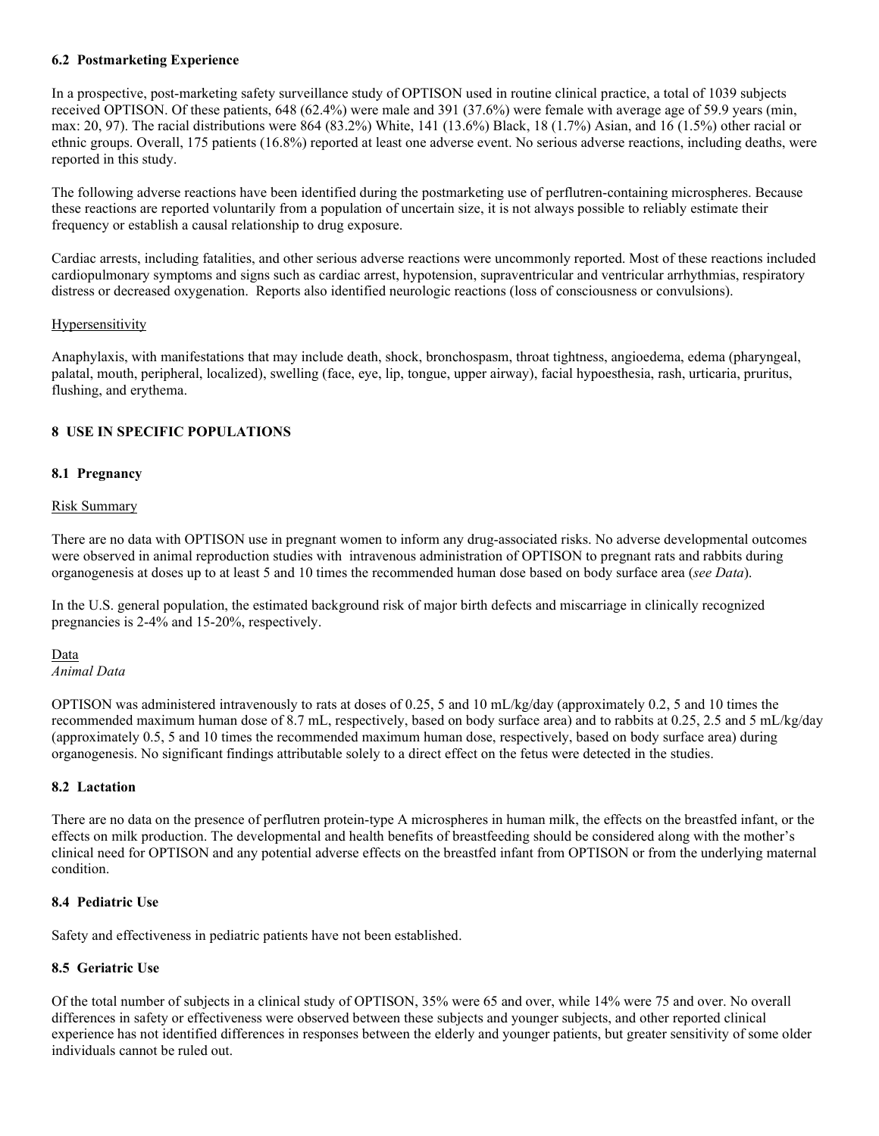### <span id="page-4-0"></span>**6.2 Postmarketing Experience**

In a prospective, post-marketing safety surveillance study of OPTISON used in routine clinical practice, a total of 1039 subjects received OPTISON. Of these patients, 648 (62.4%) were male and 391 (37.6%) were female with average age of 59.9 years (min, max: 20, 97). The racial distributions were 864 (83.2%) White, 141 (13.6%) Black, 18 (1.7%) Asian, and 16 (1.5%) other racial or ethnic groups. Overall, 175 patients (16.8%) reported at least one adverse event. No serious adverse reactions, including deaths, were reported in this study.

The following adverse reactions have been identified during the postmarketing use of perflutren-containing microspheres. Because these reactions are reported voluntarily from a population of uncertain size, it is not always possible to reliably estimate their frequency or establish a causal relationship to drug exposure.

Cardiac arrests, including fatalities, and other serious adverse reactions were uncommonly reported. Most of these reactions included cardiopulmonary symptoms and signs such as cardiac arrest, hypotension, supraventricular and ventricular arrhythmias, respiratory distress or decreased oxygenation. Reports also identified neurologic reactions (loss of consciousness or convulsions).

### **Hypersensitivity**

Anaphylaxis, with manifestations that may include death, shock, bronchospasm, throat tightness, angioedema, edema (pharyngeal, palatal, mouth, peripheral, localized), swelling (face, eye, lip, tongue, upper airway), facial hypoesthesia, rash, urticaria, pruritus, flushing, and erythema.

### <span id="page-4-1"></span>**8 USE IN SPECIFIC POPULATIONS**

### <span id="page-4-2"></span>**8.1 Pregnancy**

### Risk Summary

There are no data with OPTISON use in pregnant women to inform any drug-associated risks. No adverse developmental outcomes were observed in animal reproduction studies with intravenous administration of OPTISON to pregnant rats and rabbits during organogenesis at doses up to at least 5 and 10 times the recommended human dose based on body surface area (*see Data*).

In the U.S. general population, the estimated background risk of major birth defects and miscarriage in clinically recognized pregnancies is 2-4% and 15-20%, respectively.

# Data

*Animal Data*

OPTISON was administered intravenously to rats at doses of 0.25, 5 and 10 mL/kg/day (approximately 0.2, 5 and 10 times the recommended maximum human dose of 8.7 mL, respectively, based on body surface area) and to rabbits at 0.25, 2.5 and 5 mL/kg/day (approximately 0.5, 5 and 10 times the recommended maximum human dose, respectively, based on body surface area) during organogenesis. No significant findings attributable solely to a direct effect on the fetus were detected in the studies.

### <span id="page-4-3"></span>**8.2 Lactation**

There are no data on the presence of perflutren protein-type A microspheres in human milk, the effects on the breastfed infant, or the effects on milk production. The developmental and health benefits of breastfeeding should be considered along with the mother's clinical need for OPTISON and any potential adverse effects on the breastfed infant from OPTISON or from the underlying maternal condition.

### <span id="page-4-4"></span>**8.4 Pediatric Use**

Safety and effectiveness in pediatric patients have not been established.

### <span id="page-4-5"></span>**8.5 Geriatric Use**

Of the total number of subjects in a clinical study of OPTISON, 35% were 65 and over, while 14% were 75 and over. No overall differences in safety or effectiveness were observed between these subjects and younger subjects, and other reported clinical experience has not identified differences in responses between the elderly and younger patients, but greater sensitivity of some older individuals cannot be ruled out.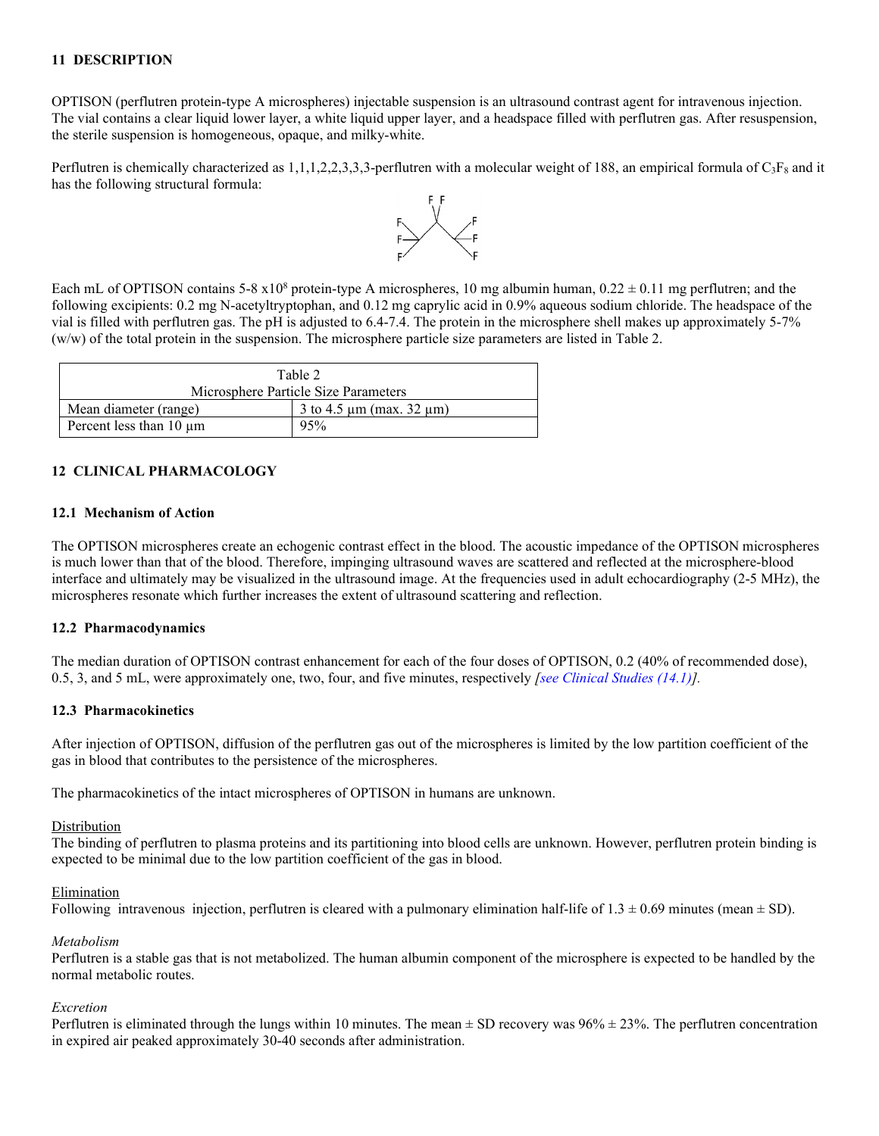## <span id="page-5-0"></span>**11 DESCRIPTION**

OPTISON (perflutren protein-type A microspheres) injectable suspension is an ultrasound contrast agent for intravenous injection. The vial contains a clear liquid lower layer, a white liquid upper layer, and a headspace filled with perflutren gas. After resuspension, the sterile suspension is homogeneous, opaque, and milky-white.

Perflutren is chemically characterized as 1,1,1,2,2,3,3,3-perflutren with a molecular weight of 188, an empirical formula of  $C_3F_8$  and it has the following structural formula:



Each mL of OPTISON contains 5-8  $x10^8$  protein-type A microspheres, 10 mg albumin human, 0.22  $\pm$  0.11 mg perflutren; and the following excipients: 0.2 mg N-acetyltryptophan, and 0.12 mg caprylic acid in 0.9% aqueous sodium chloride. The headspace of the vial is filled with perflutren gas. The pH is adjusted to 6.4-7.4. The protein in the microsphere shell makes up approximately 5-7% (w/w) of the total protein in the suspension. The microsphere particle size parameters are listed in Table 2.

| Table 2                              |                                    |  |  |  |
|--------------------------------------|------------------------------------|--|--|--|
| Microsphere Particle Size Parameters |                                    |  |  |  |
| Mean diameter (range)                | 3 to 4.5 $\mu$ m (max. 32 $\mu$ m) |  |  |  |
| Percent less than $10 \mu m$         | 95%                                |  |  |  |

## <span id="page-5-1"></span>**12 CLINICAL PHARMACOLOGY**

### <span id="page-5-2"></span>**12.1 Mechanism of Action**

The OPTISON microspheres create an echogenic contrast effect in the blood. The acoustic impedance of the OPTISON microspheres is much lower than that of the blood. Therefore, impinging ultrasound waves are scattered and reflected at the microsphere-blood interface and ultimately may be visualized in the ultrasound image. At the frequencies used in adult echocardiography (2-5 MHz), the microspheres resonate which further increases the extent of ultrasound scattering and reflection.

### <span id="page-5-3"></span>**12.2 Pharmacodynamics**

The median duration of OPTISON contrast enhancement for each of the four doses of OPTISON, 0.2 (40% of recommended dose), 0.5, 3, and 5 mL, were approximately one, two, four, and five minutes, respectively *[see [Clinical Studies \(14.1\)\]](#page-6-3).*

### <span id="page-5-4"></span>**12.3 Pharmacokinetics**

After injection of OPTISON, diffusion of the perflutren gas out of the microspheres is limited by the low partition coefficient of the gas in blood that contributes to the persistence of the microspheres.

The pharmacokinetics of the intact microspheres of OPTISON in humans are unknown.

#### Distribution

The binding of perflutren to plasma proteins and its partitioning into blood cells are unknown. However, perflutren protein binding is expected to be minimal due to the low partition coefficient of the gas in blood.

#### Elimination

Following intravenous injection, perflutren is cleared with a pulmonary elimination half-life of  $1.3 \pm 0.69$  minutes (mean  $\pm$  SD).

#### *Metabolism*

Perflutren is a stable gas that is not metabolized. The human albumin component of the microsphere is expected to be handled by the normal metabolic routes.

#### *Excretion*

Perflutren is eliminated through the lungs within 10 minutes. The mean  $\pm$  SD recovery was 96%  $\pm$  23%. The perflutren concentration in expired air peaked approximately 30-40 seconds after administration.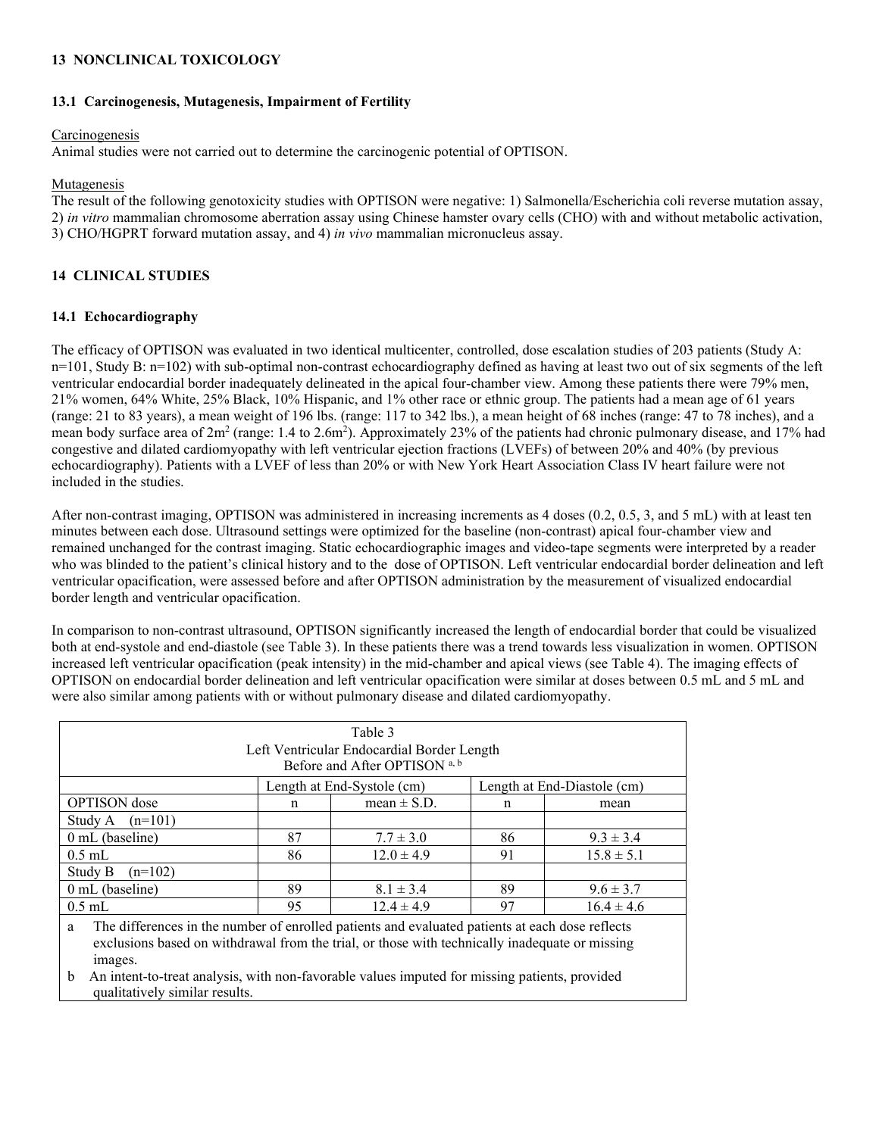## <span id="page-6-0"></span>**13 NONCLINICAL TOXICOLOGY**

## <span id="page-6-1"></span>**13.1 Carcinogenesis, Mutagenesis, Impairment of Fertility**

## Carcinogenesis

Animal studies were not carried out to determine the carcinogenic potential of OPTISON.

## Mutagenesis

The result of the following genotoxicity studies with OPTISON were negative: 1) Salmonella/Escherichia coli reverse mutation assay, 2) *in vitro* mammalian chromosome aberration assay using Chinese hamster ovary cells (CHO) with and without metabolic activation, 3) CHO/HGPRT forward mutation assay, and 4) *in vivo* mammalian micronucleus assay.

# <span id="page-6-2"></span>**14 CLINICAL STUDIES**

## <span id="page-6-3"></span>**14.1 Echocardiography**

The efficacy of OPTISON was evaluated in two identical multicenter, controlled, dose escalation studies of 203 patients (Study A:  $n=101$ , Study B:  $n=102$ ) with sub-optimal non-contrast echocardiography defined as having at least two out of six segments of the left ventricular endocardial border inadequately delineated in the apical four-chamber view. Among these patients there were 79% men, 21% women, 64% White, 25% Black, 10% Hispanic, and 1% other race or ethnic group. The patients had a mean age of 61 years (range: 21 to 83 years), a mean weight of 196 lbs. (range: 117 to 342 lbs.), a mean height of 68 inches (range: 47 to 78 inches), and a mean body surface area of  $2m^2$  (range: 1.4 to  $2.6m^2$ ). Approximately 23% of the patients had chronic pulmonary disease, and 17% had congestive and dilated cardiomyopathy with left ventricular ejection fractions (LVEFs) of between 20% and 40% (by previous echocardiography). Patients with a LVEF of less than 20% or with New York Heart Association Class IV heart failure were not included in the studies.

After non-contrast imaging, OPTISON was administered in increasing increments as 4 doses (0.2, 0.5, 3, and 5 mL) with at least ten minutes between each dose. Ultrasound settings were optimized for the baseline (non-contrast) apical four-chamber view and remained unchanged for the contrast imaging. Static echocardiographic images and video-tape segments were interpreted by a reader who was blinded to the patient's clinical history and to the dose of OPTISON. Left ventricular endocardial border delineation and left ventricular opacification, were assessed before and after OPTISON administration by the measurement of visualized endocardial border length and ventricular opacification.

In comparison to non-contrast ultrasound, OPTISON significantly increased the length of endocardial border that could be visualized both at end-systole and end-diastole (see Table 3). In these patients there was a trend towards less visualization in women. OPTISON increased left ventricular opacification (peak intensity) in the mid-chamber and apical views (see Table 4). The imaging effects of OPTISON on endocardial border delineation and left ventricular opacification were similar at doses between 0.5 mL and 5 mL and were also similar among patients with or without pulmonary disease and dilated cardiomyopathy.

| Table 3<br>Left Ventricular Endocardial Border Length<br>Before and After OPTISON <sup>a, b</sup>                                                                                                                 |                                                           |                 |    |                |  |  |
|-------------------------------------------------------------------------------------------------------------------------------------------------------------------------------------------------------------------|-----------------------------------------------------------|-----------------|----|----------------|--|--|
|                                                                                                                                                                                                                   | Length at End-Diastole (cm)<br>Length at End-Systole (cm) |                 |    |                |  |  |
| <b>OPTISON</b> dose                                                                                                                                                                                               | n                                                         | mean $\pm$ S.D. | n  | mean           |  |  |
| $(n=101)$<br>Study A                                                                                                                                                                                              |                                                           |                 |    |                |  |  |
| $0$ mL (baseline)                                                                                                                                                                                                 | 87                                                        | $7.7 \pm 3.0$   | 86 | $9.3 \pm 3.4$  |  |  |
| $0.5$ mL                                                                                                                                                                                                          | 86                                                        | $12.0 \pm 4.9$  | 91 | $15.8 \pm 5.1$ |  |  |
| Study B<br>$(n=102)$                                                                                                                                                                                              |                                                           |                 |    |                |  |  |
| $0$ mL (baseline)                                                                                                                                                                                                 | 89                                                        | $8.1 \pm 3.4$   | 89 | $9.6 \pm 3.7$  |  |  |
| $0.5$ mL                                                                                                                                                                                                          | 95                                                        | $12.4 \pm 4.9$  | 97 | $16.4 \pm 4.6$ |  |  |
| The differences in the number of enrolled patients and evaluated patients at each dose reflects<br>a<br>exclusions based on withdrawal from the trial, or those with technically inadequate or missing<br>images. |                                                           |                 |    |                |  |  |

b An intent-to-treat analysis, with non-favorable values imputed for missing patients, provided qualitatively similar results.